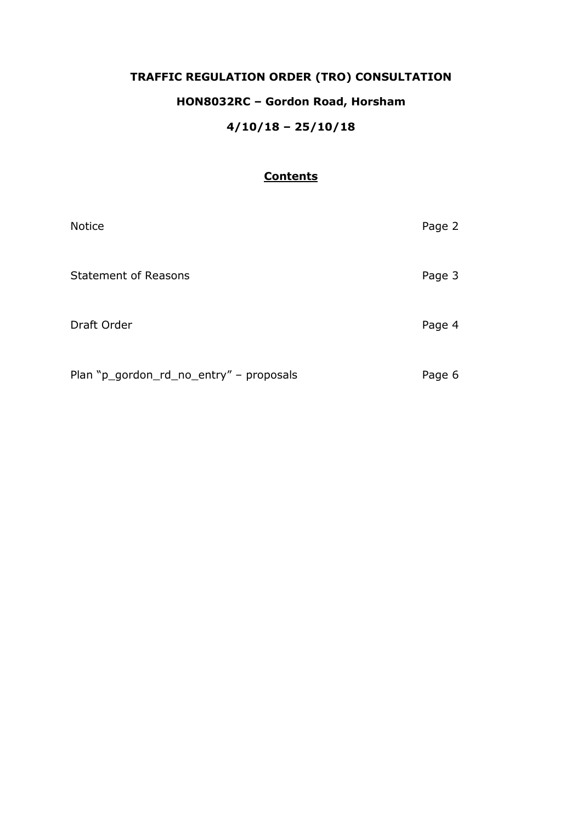# **TRAFFIC REGULATION ORDER (TRO) CONSULTATION HON8032RC – Gordon Road, Horsham 4/10/18 – 25/10/18**

## **Contents**

| <b>Notice</b>                           | Page 2 |
|-----------------------------------------|--------|
| <b>Statement of Reasons</b>             | Page 3 |
| Draft Order                             | Page 4 |
| Plan "p_gordon_rd_no_entry" - proposals | Page 6 |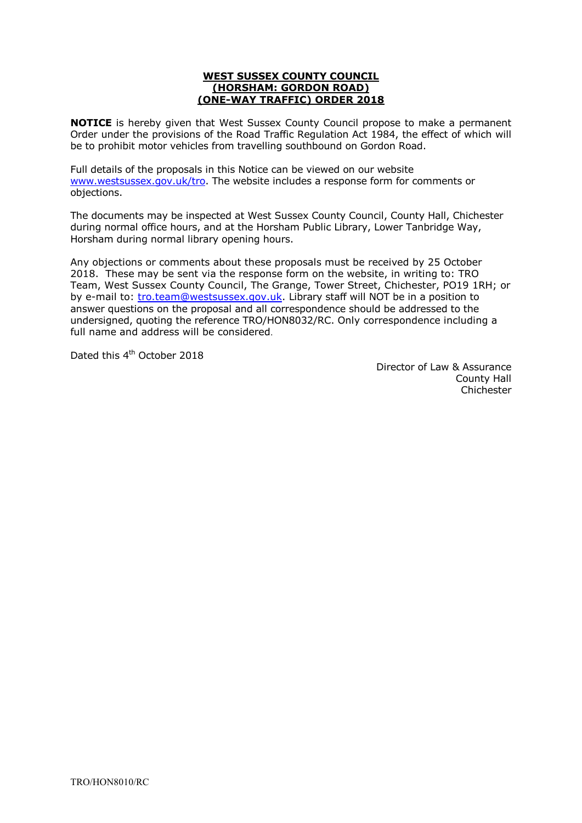#### **WEST SUSSEX COUNTY COUNCIL (HORSHAM: GORDON ROAD) (ONE-WAY TRAFFIC) ORDER 2018**

**NOTICE** is hereby given that West Sussex County Council propose to make a permanent Order under the provisions of the Road Traffic Regulation Act 1984, the effect of which will be to prohibit motor vehicles from travelling southbound on Gordon Road.

Full details of the proposals in this Notice can be viewed on our website w[ww.westsussex.gov.uk/tro](http://www.westsussex.gov.uk/tro). The website includes a response form for comments or objections.

The documents may be inspected at West Sussex County Council, County Hall, Chichester during normal office hours, and at the Horsham Public Library, Lower Tanbridge Way, Horsham during normal library opening hours.

Any objections or comments about these proposals must be received by 25 October 2018. These may be sent via the response form on the website, in writing to: TRO Team, West Sussex County Council, The Grange, Tower Street, Chichester, PO19 1RH; or by e-mail to: [tro.team@westsussex.gov.uk.](mailto:tro.team@westsussex.gov.uk) Library staff will NOT be in a position to answer questions on the proposal and all correspondence should be addressed to the undersigned, quoting the reference TRO/HON8032/RC. Only correspondence including a full name and address will be considered.

Dated this 4<sup>th</sup> October 2018

 Director of Law & Assurance County Hall Chichester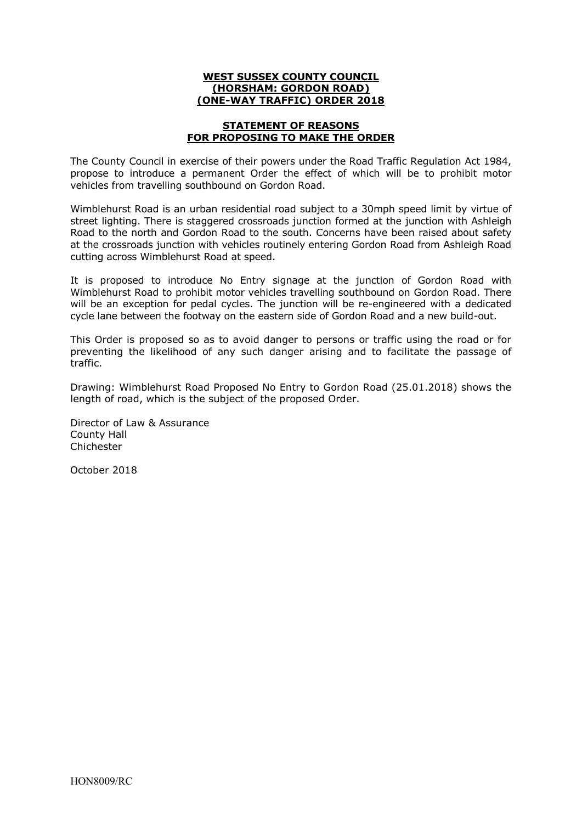### **WEST SUSSEX COUNTY COUNCIL (HORSHAM: GORDON ROAD) (ONE-WAY TRAFFIC) ORDER 2018**

#### **STATEMENT OF REASONS FOR PROPOSING TO MAKE THE ORDER**

The County Council in exercise of their powers under the Road Traffic Regulation Act 1984, propose to introduce a permanent Order the effect of which will be to prohibit motor vehicles from travelling southbound on Gordon Road.

Wimblehurst Road is an urban residential road subject to a 30mph speed limit by virtue of street lighting. There is staggered crossroads junction formed at the junction with Ashleigh Road to the north and Gordon Road to the south. Concerns have been raised about safety at the crossroads junction with vehicles routinely entering Gordon Road from Ashleigh Road cutting across Wimblehurst Road at speed.

It is proposed to introduce No Entry signage at the junction of Gordon Road with Wimblehurst Road to prohibit motor vehicles travelling southbound on Gordon Road. There will be an exception for pedal cycles. The junction will be re-engineered with a dedicated cycle lane between the footway on the eastern side of Gordon Road and a new build-out.

This Order is proposed so as to avoid danger to persons or traffic using the road or for preventing the likelihood of any such danger arising and to facilitate the passage of traffic.

Drawing: Wimblehurst Road Proposed No Entry to Gordon Road (25.01.2018) shows the length of road, which is the subject of the proposed Order.

Director of Law & Assurance County Hall Chichester

October 2018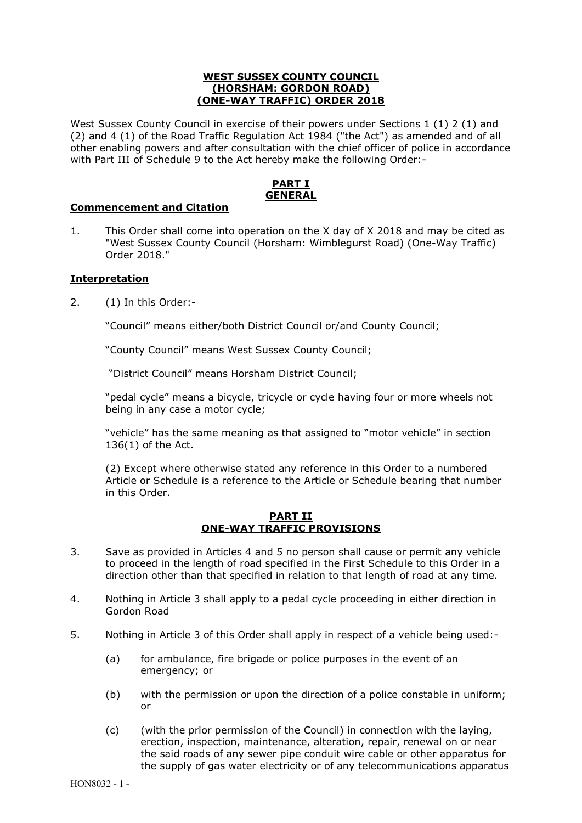#### **WEST SUSSEX COUNTY COUNCIL (HORSHAM: GORDON ROAD) (ONE-WAY TRAFFIC) ORDER 2018**

West Sussex County Council in exercise of their powers under Sections 1 (1) 2 (1) and (2) and 4 (1) of the Road Traffic Regulation Act 1984 ("the Act") as amended and of all other enabling powers and after consultation with the chief officer of police in accordance with Part III of Schedule 9 to the Act hereby make the following Order:-

## **PART I GENERAL**

### **Commencement and Citation**

1. This Order shall come into operation on the X day of X 2018 and may be cited as "West Sussex County Council (Horsham: Wimblegurst Road) (One-Way Traffic) Order 2018."

## **Interpretation**

2. (1) In this Order:-

"Council" means either/both District Council or/and County Council;

"County Council" means West Sussex County Council;

"District Council" means Horsham District Council;

"pedal cycle" means a bicycle, tricycle or cycle having four or more wheels not being in any case a motor cycle;

"vehicle" has the same meaning as that assigned to "motor vehicle" in section 136(1) of the Act.

(2) Except where otherwise stated any reference in this Order to a numbered Article or Schedule is a reference to the Article or Schedule bearing that number in this Order.

**PART II ONE-WAY TRAFFIC PROVISIONS**

- 3. Save as provided in Articles 4 and 5 no person shall cause or permit any vehicle to proceed in the length of road specified in the First Schedule to this Order in a direction other than that specified in relation to that length of road at any time.
- 4. Nothing in Article 3 shall apply to a pedal cycle proceeding in either direction in Gordon Road
- 5. Nothing in Article 3 of this Order shall apply in respect of a vehicle being used:-
	- (a) for ambulance, fire brigade or police purposes in the event of an emergency; or
	- (b) with the permission or upon the direction of a police constable in uniform; or
	- (c) (with the prior permission of the Council) in connection with the laying, erection, inspection, maintenance, alteration, repair, renewal on or near the said roads of any sewer pipe conduit wire cable or other apparatus for the supply of gas water electricity or of any telecommunications apparatus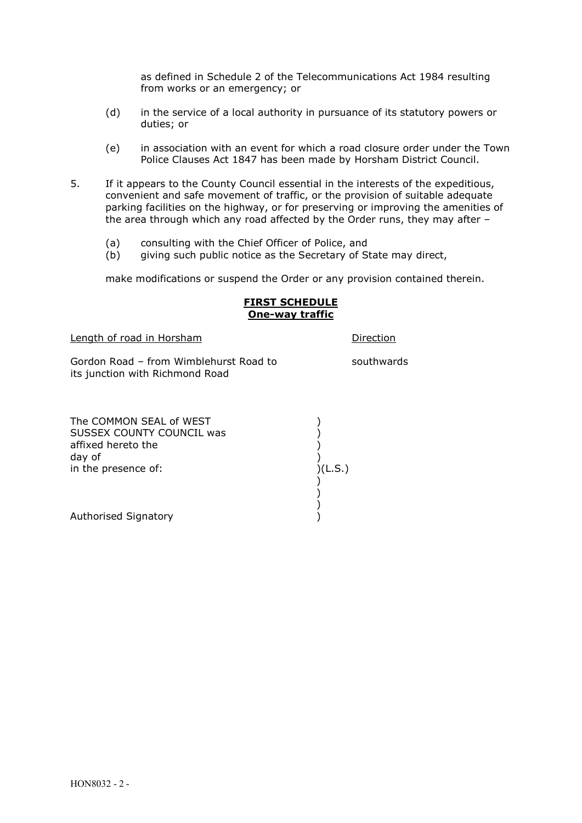as defined in Schedule 2 of the Telecommunications Act 1984 resulting from works or an emergency; or

- (d) in the service of a local authority in pursuance of its statutory powers or duties; or
- (e) in association with an event for which a road closure order under the Town Police Clauses Act 1847 has been made by Horsham District Council.
- 5. If it appears to the County Council essential in the interests of the expeditious, convenient and safe movement of traffic, or the provision of suitable adequate parking facilities on the highway, or for preserving or improving the amenities of the area through which any road affected by the Order runs, they may after –
	- (a) consulting with the Chief Officer of Police, and
	- (b) giving such public notice as the Secretary of State may direct,

make modifications or suspend the Order or any provision contained therein.

#### **FIRST SCHEDULE One-way traffic**

Length of road in Horsham **Direction** 

Gordon Road – from Wimblehurst Road to southwards its junction with Richmond Road

 ) )

The COMMON SEAL of WEST (1999) SUSSEX COUNTY COUNCIL was (2004) affixed hereto the  $($   $)$ day of  $\left( \begin{array}{ccc} 0 & 0 & 0 \\ 0 & 0 & 0 \\ 0 & 0 & 0 \\ 0 & 0 & 0 \end{array} \right)$  (L.S.) in the presence of:

 ) Authorised Signatory (and the state of the state of the state of the state of the state of the state of the state of the state of the state of the state of the state of the state of the state of the state of the state of t